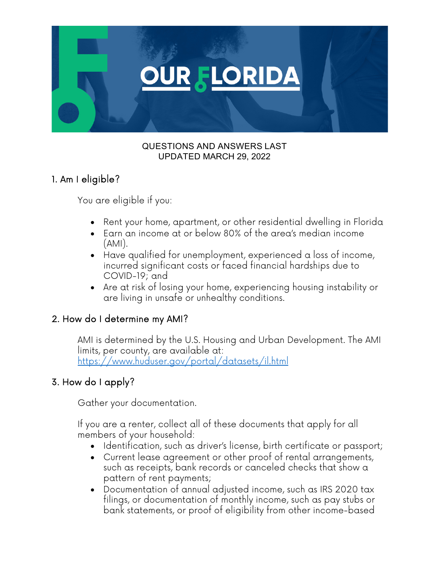

#### QUESTIONS AND ANSWERS LAST UPDATED MARCH 29, 2022

# 1. Am I eligible?

You are eligible if you:

- Rent your home, apartment, or other residential dwelling in Florida
- Earn an income at or below 80% of the area's median income (AMI).
- Have qualified for unemployment, experienced a loss of income, incurred significant costs or faced financial hardships due to COVID-19; and
- Are at risk of losing your home, experiencing housing instability or are living in unsafe or unhealthy conditions.

# 2. How do I determine my AMI?

AMI is determined by the U.S. Housing and Urban Development. The AMI limits, per county, are available at: https://www.huduser.gov/portal/datasets/il.html

# 3. How do I apply?

Gather your documentation.

If you are a renter, collect all of these documents that apply for all members of your household:

- Identification, such as driver's license, birth certificate or passport;
- Current lease agreement or other proof of rental arrangements, such as receipts, bank records or canceled checks that show a pattern of rent payments;
- Documentation of annual adjusted income, such as IRS 2020 tax filings, or documentation of monthly income, such as pay stubs or bank statements, or proof of eligibility from other income-based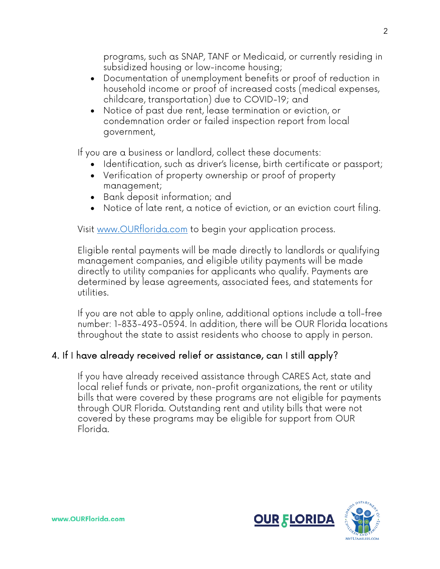programs, such as SNAP, TANF or Medicaid, or currently residing in subsidized housing or low-income housing;

- Documentation of unemployment benefits or proof of reduction in household income or proof of increased costs (medical expenses, childcare, transportation) due to COVID-19; and
- Notice of past due rent, lease termination or eviction, or condemnation order or failed inspection report from local government,

If you are a business or landlord, collect these documents:

- Identification, such as driver's license, birth certificate or passport;
- Verification of property ownership or proof of property management;
- Bank deposit information; and
- Notice of late rent, a notice of eviction, or an eviction court filing.

Visit www.OURflorida.com to begin your application process.

Eligible rental payments will be made directly to landlords or qualifying management companies, and eligible utility payments will be made directly to utility companies for applicants who qualify. Payments are determined by lease agreements, associated fees, and statements for utilities.

If you are not able to apply online, additional options include a toll-free number: 1-833-493-0594. In addition, there will be OUR Florida locations throughout the state to assist residents who choose to apply in person.

# 4. If I have already received relief or assistance, can I still apply?

If you have already received assistance through CARES Act, state and local relief funds or private, non-profit organizations, the rent or utility bills that were covered by these programs are not eligible for payments through OUR Florida. Outstanding rent and utility bills that were not covered by these programs may be eligible for support from OUR Florida.

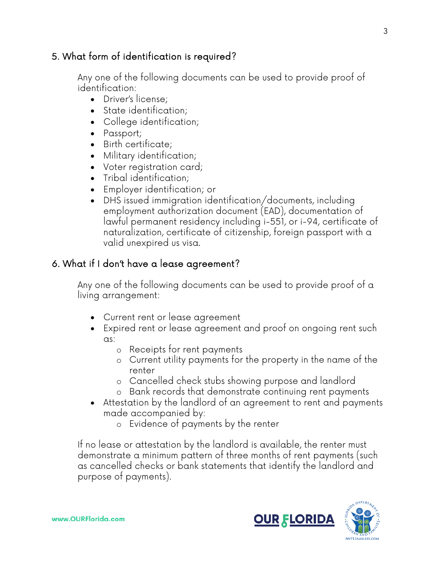### 5. What form of identification is required?

Any one of the following documents can be used to provide proof of identification:

- Driver's license;
- State identification;
- College identification;
- Passport;
- Birth certificate;
- Military identification;
- Voter registration card;
- Tribal identification;
- Employer identification; or
- DHS issued immigration identification/documents, including employment authorization document (EAD), documentation of lawful permanent residency including i-551, or i-94, certificate of naturalization, certificate of citizenship, foreign passport with a valid unexpired us visa.

# 6. What if I don't have a lease agreement?

Any one of the following documents can be used to provide proof of a living arrangement:

- Current rent or lease agreement
- Expired rent or lease agreement and proof on ongoing rent such as:
	- o Receipts for rent payments
	- o Current utility payments for the property in the name of the renter
	- o Cancelled check stubs showing purpose and landlord
	- o Bank records that demonstrate continuing rent payments
- Attestation by the landlord of an agreement to rent and payments made accompanied by:
	- o Evidence of payments by the renter

If no lease or attestation by the landlord is available, the renter must demonstrate a minimum pattern of three months of rent payments (such as cancelled checks or bank statements that identify the landlord and purpose of payments).

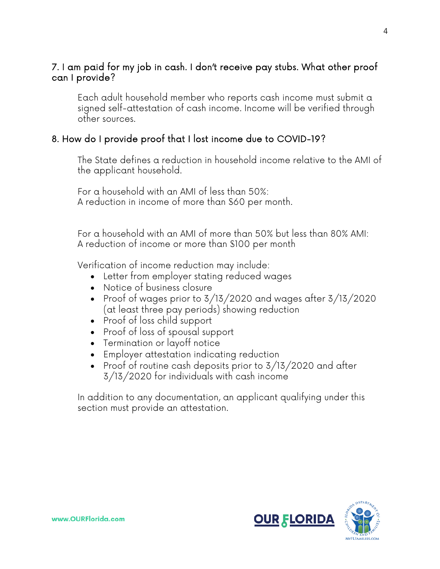### 7. I am paid for my job in cash. I don't receive pay stubs. What other proof can I provide?

Each adult household member who reports cash income must submit a signed self-attestation of cash income. Income will be verified through other sources.

### 8. How do I provide proof that I lost income due to COVID-19?

The State defines a reduction in household income relative to the AMI of the applicant household.

For a household with an AMI of less than 50%: A reduction in income of more than \$60 per month.

For a household with an AMI of more than 50% but less than 80% AMI: A reduction of income or more than \$100 per month

Verification of income reduction may include:

- Letter from employer stating reduced wages
- Notice of business closure
- Proof of wages prior to 3/13/2020 and wages after 3/13/2020 (at least three pay periods) showing reduction
- Proof of loss child support
- Proof of loss of spousal support
- Termination or layoff notice
- Employer attestation indicating reduction
- Proof of routine cash deposits prior to 3/13/2020 and after 3/13/2020 for individuals with cash income

In addition to any documentation, an applicant qualifying under this section must provide an attestation.

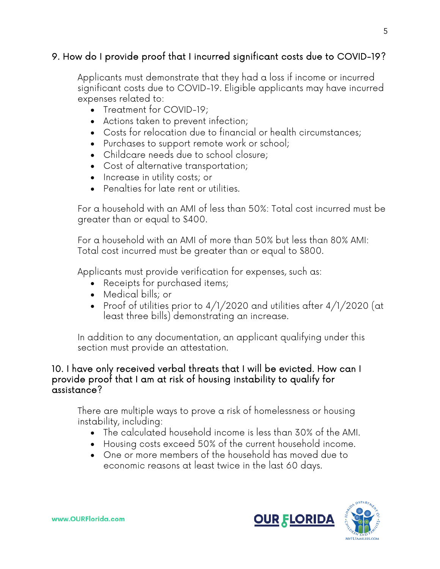### 9. How do I provide proof that I incurred significant costs due to COVID-19?

Applicants must demonstrate that they had a loss if income or incurred significant costs due to COVID-19. Eligible applicants may have incurred expenses related to:

- Treatment for COVID-19;
- Actions taken to prevent infection;
- Costs for relocation due to financial or health circumstances;
- Purchases to support remote work or school;
- Childcare needs due to school closure;
- Cost of alternative transportation;
- Increase in utility costs; or
- Penalties for late rent or utilities.

For a household with an AMI of less than 50%: Total cost incurred must be greater than or equal to \$400.

For a household with an AMI of more than 50% but less than 80% AMI: Total cost incurred must be greater than or equal to \$800.

Applicants must provide verification for expenses, such as:

- Receipts for purchased items;
- Medical bills; or
- Proof of utilities prior to  $4/1/2020$  and utilities after  $4/1/2020$  (at least three bills) demonstrating an increase.

In addition to any documentation, an applicant qualifying under this section must provide an attestation.

#### 10. I have only received verbal threats that I will be evicted. How can I provide proof that I am at risk of housing instability to qualify for assistance?

There are multiple ways to prove a risk of homelessness or housing instability, including:

- The calculated household income is less than 30% of the AMI.
- Housing costs exceed 50% of the current household income.
- One or more members of the household has moved due to economic reasons at least twice in the last 60 days.

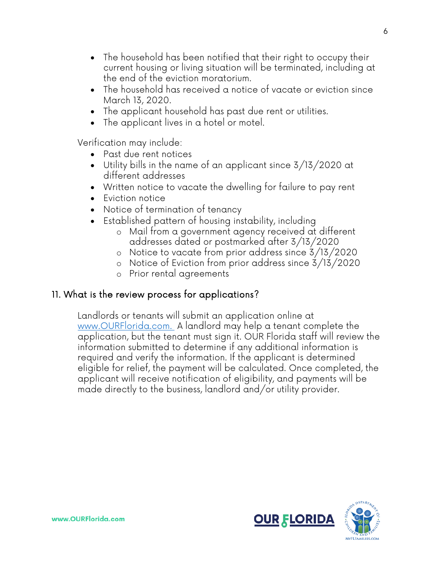- The household has been notified that their right to occupy their current housing or living situation will be terminated, including at the end of the eviction moratorium.
- The household has received a notice of vacate or eviction since March 13, 2020.
- The applicant household has past due rent or utilities.
- The applicant lives in a hotel or motel.

Verification may include:

- Past due rent notices
- Utility bills in the name of an applicant since 3/13/2020 at different addresses
- Written notice to vacate the dwelling for failure to pay rent
- Eviction notice
- Notice of termination of tenancy
- Established pattern of housing instability, including
	- o Mail from a government agency received at different addresses dated or postmarked after 3/13/2020
	- o Notice to vacate from prior address since 3/13/2020
	- o Notice of Eviction from prior address since 3/13/2020
	- o Prior rental agreements

### 11. What is the review process for applications?

Landlords or tenants will submit an application online at www.OURFlorida.com. A landlord may help a tenant complete the application, but the tenant must sign it. OUR Florida staff will review the information submitted to determine if any additional information is required and verify the information. If the applicant is determined eligible for relief, the payment will be calculated. Once completed, the applicant will receive notification of eligibility, and payments will be made directly to the business, landlord and/or utility provider.



6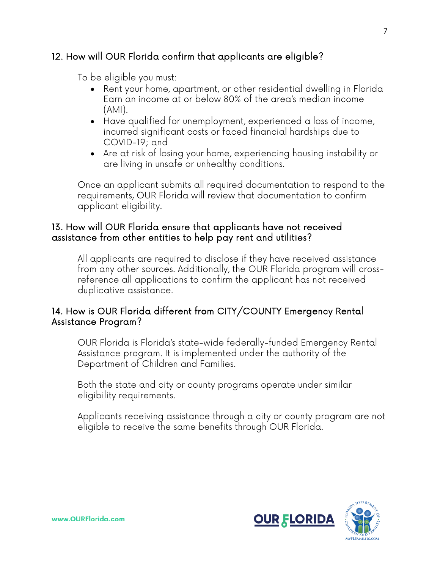### 12. How will OUR Florida confirm that applicants are eligible?

To be eligible you must:

- Rent your home, apartment, or other residential dwelling in Florida Earn an income at or below 80% of the area's median income (AMI).
- Have qualified for unemployment, experienced a loss of income, incurred significant costs or faced financial hardships due to COVID-19; and
- Are at risk of losing your home, experiencing housing instability or are living in unsafe or unhealthy conditions.

Once an applicant submits all required documentation to respond to the requirements, OUR Florida will review that documentation to confirm applicant eligibility.

### 13. How will OUR Florida ensure that applicants have not received assistance from other entities to help pay rent and utilities?

All applicants are required to disclose if they have received assistance from any other sources. Additionally, the OUR Florida program will crossreference all applications to confirm the applicant has not received duplicative assistance.

### 14. How is OUR Florida different from CITY/COUNTY Emergency Rental Assistance Program?

OUR Florida is Florida's state-wide federally-funded Emergency Rental Assistance program. It is implemented under the authority of the Department of Children and Families.

Both the state and city or county programs operate under similar eligibility requirements.

Applicants receiving assistance through a city or county program are not eligible to receive the same benefits through OUR Florida.

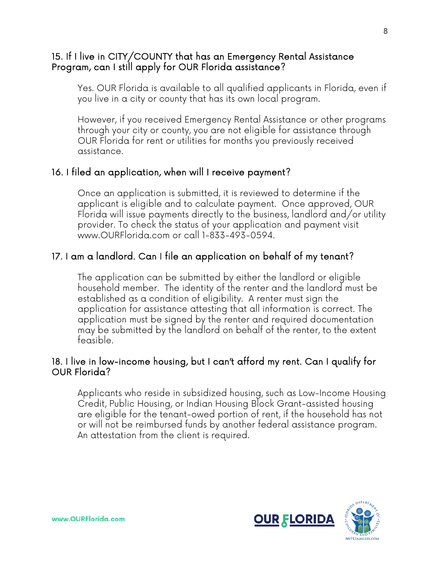#### 15. If I live in CITY/COUNTY that has an Emergency Rental Assistance Program, can I still apply for OUR Florida assistance?

Yes. OUR Florida is available to all qualified applicants in Florida, even if you live in a city or county that has its own local program.

However, if you received Emergency Rental Assistance or other programs through your city or county, you are not eligible for assistance through OUR Florida for rent or utilities for months you previously received assistance.

### 16. I filed an application, when will I receive payment?

Once an application is submitted, it is reviewed to determine if the applicant is eligible and to calculate payment. Once approved, OUR Florida will issue payments directly to the business, landlord and/or utility provider. To check the status of your application and payment visit www.OURFlorida.com or call 1-833-493-0594.

### 17. I am a landlord. Can I file an application on behalf of my tenant?

The application can be submitted by either the landlord or eligible household member. The identity of the renter and the landlord must be established as a condition of eligibility. A renter must sign the application for assistance attesting that all information is correct. The application must be signed by the renter and required documentation may be submitted by the landlord on behalf of the renter, to the extent feasible.

#### 18. I live in low-income housing, but I can't afford my rent. Can I qualify for OUR Florida?

Applicants who reside in subsidized housing, such as Low-Income Housing Credit, Public Housing, or Indian Housing Block Grant-assisted housing are eligible for the tenant-owed portion of rent, if the household has not or will not be reimbursed funds by another federal assistance program. An attestation from the client is required.

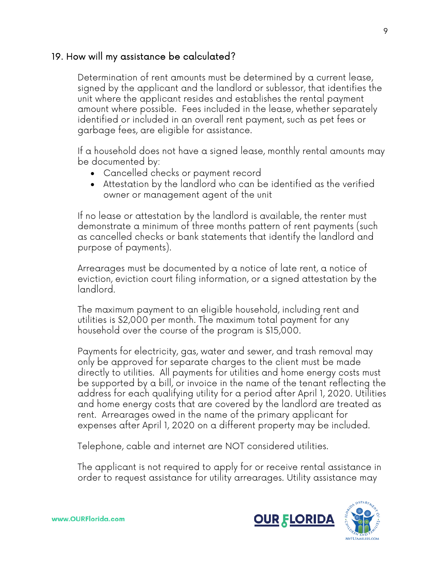### 19. How will my assistance be calculated?

Determination of rent amounts must be determined by a current lease, signed by the applicant and the landlord or sublessor, that identifies the unit where the applicant resides and establishes the rental payment amount where possible. Fees included in the lease, whether separately identified or included in an overall rent payment, such as pet fees or garbage fees, are eligible for assistance.

If a household does not have a signed lease, monthly rental amounts may be documented by:

- Cancelled checks or payment record
- Attestation by the landlord who can be identified as the verified owner or management agent of the unit

If no lease or attestation by the landlord is available, the renter must demonstrate a minimum of three months pattern of rent payments (such as cancelled checks or bank statements that identify the landlord and purpose of payments).

Arrearages must be documented by a notice of late rent, a notice of eviction, eviction court filing information, or a signed attestation by the landlord.

The maximum payment to an eligible household, including rent and utilities is \$2,000 per month. The maximum total payment for any household over the course of the program is \$15,000.

Payments for electricity, gas, water and sewer, and trash removal may only be approved for separate charges to the client must be made directly to utilities. All payments for utilities and home energy costs must be supported by a bill, or invoice in the name of the tenant reflecting the address for each qualifying utility for a period after April 1, 2020. Utilities and home energy costs that are covered by the landlord are treated as rent. Arrearages owed in the name of the primary applicant for expenses after April 1, 2020 on a different property may be included.

Telephone, cable and internet are NOT considered utilities.

The applicant is not required to apply for or receive rental assistance in order to request assistance for utility arrearages. Utility assistance may